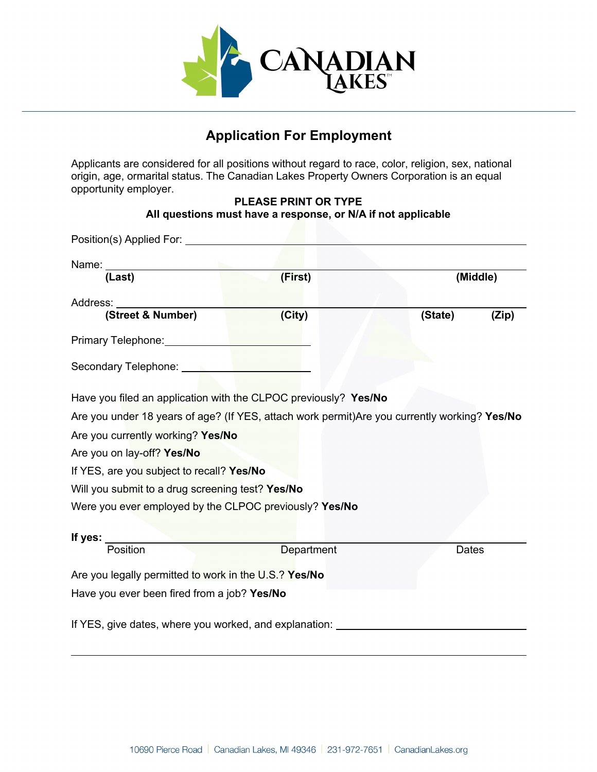

# **Application For Employment**

Applicants are considered for all positions without regard to race, color, religion, sex, national origin, age, ormarital status. The Canadian Lakes Property Owners Corporation is an equal opportunity employer.

#### **PLEASE PRINT OR TYPE All questions must have a response, or N/A if not applicable**

| (Last)                                                                                        | (First)    | (Middle) |       |
|-----------------------------------------------------------------------------------------------|------------|----------|-------|
| Address:<br>(Street & Number)                                                                 | (City)     | (State)  | (Zip) |
| Primary Telephone: New York 1999                                                              |            |          |       |
| Secondary Telephone: Network and Secondary Telephone:                                         |            |          |       |
| Have you filed an application with the CLPOC previously? Yes/No                               |            |          |       |
| Are you under 18 years of age? (If YES, attach work permit) Are you currently working? Yes/No |            |          |       |
| Are you currently working? Yes/No                                                             |            |          |       |
| Are you on lay-off? Yes/No                                                                    |            |          |       |
| If YES, are you subject to recall? Yes/No                                                     |            |          |       |
| Will you submit to a drug screening test? Yes/No                                              |            |          |       |
| Were you ever employed by the CLPOC previously? Yes/No                                        |            |          |       |
|                                                                                               |            |          |       |
| If yes: $\_\_$                                                                                |            |          |       |
| Position                                                                                      | Department | Dates    |       |
| Are you legally permitted to work in the U.S.? Yes/No                                         |            |          |       |
| Have you ever been fired from a job? Yes/No                                                   |            |          |       |
| If YES, give dates, where you worked, and explanation: _________________________              |            |          |       |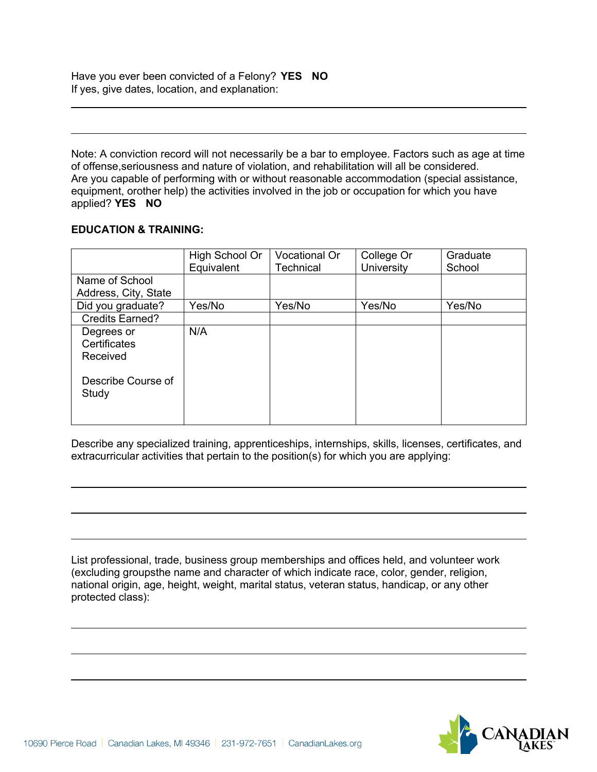Have you ever been convicted of a Felony? **YES NO** If yes, give dates, location, and explanation:

Note: A conviction record will not necessarily be a bar to employee. Factors such as age at time of offense,seriousness and nature of violation, and rehabilitation will all be considered. Are you capable of performing with or without reasonable accommodation (special assistance, equipment, orother help) the activities involved in the job or occupation for which you have applied? **YES NO**

#### **EDUCATION & TRAINING:**

|                                        | High School Or<br>Equivalent | Vocational Or<br><b>Technical</b> | College Or<br><b>University</b> | Graduate<br>School |
|----------------------------------------|------------------------------|-----------------------------------|---------------------------------|--------------------|
| Name of School<br>Address, City, State |                              |                                   |                                 |                    |
| Did you graduate?                      | Yes/No                       | Yes/No                            | Yes/No                          | Yes/No             |
| Credits Earned?                        |                              |                                   |                                 |                    |
| Degrees or<br>Certificates<br>Received | N/A                          |                                   |                                 |                    |
| Describe Course of<br>Study            |                              |                                   |                                 |                    |

Describe any specialized training, apprenticeships, internships, skills, licenses, certificates, and extracurricular activities that pertain to the position(s) for which you are applying:

List professional, trade, business group memberships and offices held, and volunteer work (excluding groupsthe name and character of which indicate race, color, gender, religion, national origin, age, height, weight, marital status, veteran status, handicap, or any other protected class):

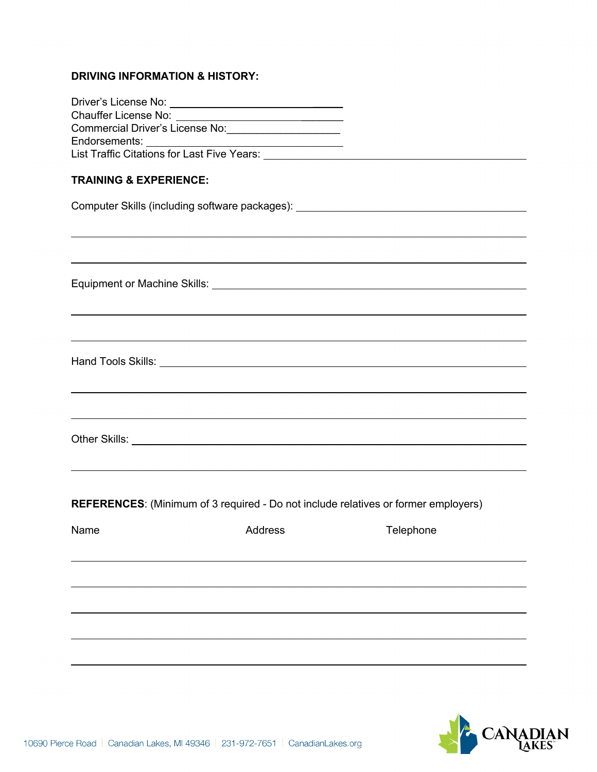## **DRIVING INFORMATION & HISTORY:**

|                                   | Commercial Driver's License No: ______________________                                    |                                                                                                                                                                      |  |
|-----------------------------------|-------------------------------------------------------------------------------------------|----------------------------------------------------------------------------------------------------------------------------------------------------------------------|--|
|                                   |                                                                                           |                                                                                                                                                                      |  |
| <b>TRAINING &amp; EXPERIENCE:</b> |                                                                                           |                                                                                                                                                                      |  |
|                                   |                                                                                           | Computer Skills (including software packages): _________________________________                                                                                     |  |
|                                   |                                                                                           | ,我们也不会有什么。""我们的人,我们也不会有什么?""我们的人,我们也不会有什么?""我们的人,我们也不会有什么?""我们的人,我们也不会有什么?""我们的人<br>,我们也不会有什么。""我们的人,我们也不会有什么?""我们的人,我们也不会有什么?""我们的人,我们也不会有什么?""我们的人,我们也不会有什么?""我们的人 |  |
|                                   |                                                                                           |                                                                                                                                                                      |  |
|                                   |                                                                                           | ,我们也不会有什么。""我们的人,我们也不会有什么?""我们的人,我们也不会有什么?""我们的人,我们也不会有什么?""我们的人,我们也不会有什么?""我们的人                                                                                     |  |
|                                   |                                                                                           | ,我们也不会有什么。""我们的人,我们也不会有什么?""我们的人,我们也不会有什么?""我们的人,我们也不会有什么?""我们的人,我们也不会有什么?""我们的人                                                                                     |  |
|                                   |                                                                                           | ,我们也不会有什么。""我们的人,我们也不会有什么?""我们的人,我们也不会有什么?""我们的人,我们也不会有什么?""我们的人,我们也不会有什么?""我们的人<br>,我们也不会有什么。""我们的人,我们也不会有什么?""我们的人,我们也不会有什么?""我们的人,我们也不会有什么?""我们的人,我们也不会有什么?""我们的人 |  |
|                                   |                                                                                           |                                                                                                                                                                      |  |
|                                   | <b>REFERENCES:</b> (Minimum of 3 required - Do not include relatives or former employers) |                                                                                                                                                                      |  |
| Name                              | <b>Example 2018 Address</b>                                                               | Telephone                                                                                                                                                            |  |
|                                   |                                                                                           |                                                                                                                                                                      |  |
|                                   |                                                                                           |                                                                                                                                                                      |  |
|                                   |                                                                                           |                                                                                                                                                                      |  |
|                                   |                                                                                           |                                                                                                                                                                      |  |

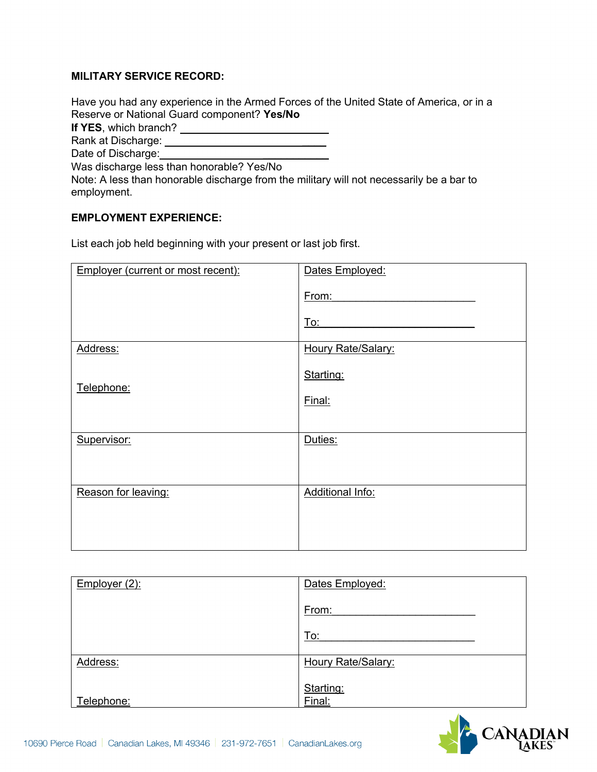#### **MILITARY SERVICE RECORD:**

Have you had any experience in the Armed Forces of the United State of America, or in a Reserve or National Guard component? **Yes/No**

**If YES**, which branch?

Rank at Discharge: \_\_\_\_

Date of Discharge: **William** 

Was discharge less than honorable? Yes/No

Note: A less than honorable discharge from the military will not necessarily be a bar to employment.

#### **EMPLOYMENT EXPERIENCE:**

List each job held beginning with your present or last job first.

| Employer (current or most recent): | Dates Employed:    |
|------------------------------------|--------------------|
|                                    | From:              |
|                                    | <u>To:</u>         |
| Address:                           | Houry Rate/Salary: |
| Telephone:                         | Starting:          |
|                                    | Final:             |
|                                    |                    |
| Supervisor:                        | Duties:            |
|                                    |                    |
| Reason for leaving:                | Additional Info:   |
|                                    |                    |
|                                    |                    |

| Employer $(2)$ : | Dates Employed:     |
|------------------|---------------------|
|                  | From:               |
|                  | To:                 |
| Address:         | Houry Rate/Salary:  |
| Telephone:       | Starting:<br>Final: |

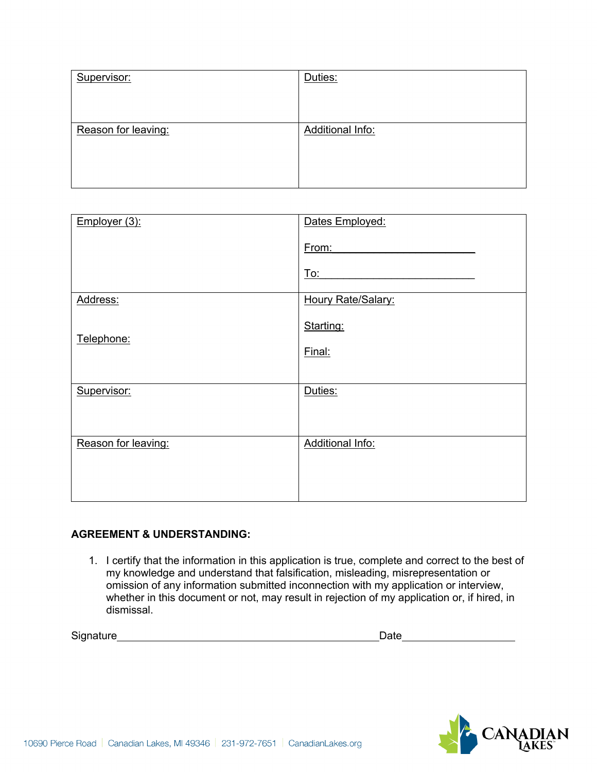| Supervisor:         | Duties:          |
|---------------------|------------------|
|                     |                  |
|                     |                  |
| Reason for leaving: | Additional Info: |
|                     |                  |
|                     |                  |
|                     |                  |

| Employer (3):       | Dates Employed:         |
|---------------------|-------------------------|
|                     | From:                   |
|                     | To:                     |
| Address:            | Houry Rate/Salary:      |
| Telephone:          | Starting:               |
|                     | Final:                  |
|                     |                         |
| Supervisor:         | Duties:                 |
|                     |                         |
| Reason for leaving: | <b>Additional Info:</b> |
|                     |                         |
|                     |                         |

#### **AGREEMENT & UNDERSTANDING:**

1. I certify that the information in this application is true, complete and correct to the best of my knowledge and understand that falsification, misleading, misrepresentation or omission of any information submitted inconnection with my application or interview, whether in this document or not, may result in rejection of my application or, if hired, in dismissal.

Signature extension and the Date of Signature extending to the Date of Date of Date of Date of Date of Date of Date of Date of Date of Date of Date of Date of Date of Date of Date of Date of Date of Date of Date of Date of

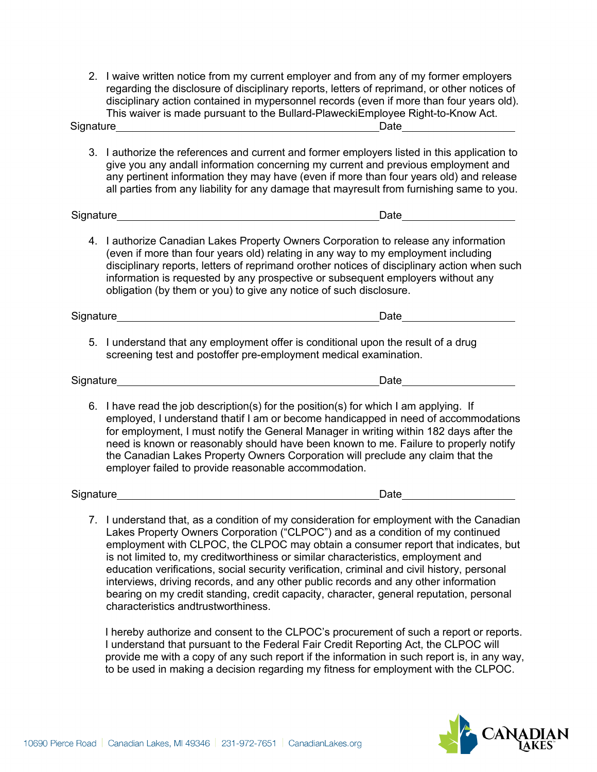2. I waive written notice from my current employer and from any of my former employers regarding the disclosure of disciplinary reports, letters of reprimand, or other notices of disciplinary action contained in mypersonnel records (even if more than four years old). This waiver is made pursuant to the Bullard-PlaweckiEmployee Right-to-Know Act. Signature Date

3. I authorize the references and current and former employers listed in this application to give you any andall information concerning my current and previous employment and any pertinent information they may have (even if more than four years old) and release all parties from any liability for any damage that mayresult from furnishing same to you.

Signature **Date Date Date Date Date Date Date Date Date Date Date** 

4. I authorize Canadian Lakes Property Owners Corporation to release any information (even if more than four years old) relating in any way to my employment including disciplinary reports, letters of reprimand orother notices of disciplinary action when such information is requested by any prospective or subsequent employers without any obligation (by them or you) to give any notice of such disclosure.

Signature **Date** 

5. I understand that any employment offer is conditional upon the result of a drug screening test and postoffer pre-employment medical examination.

Signature Date **Date Date Date Date Date Date Date** 

6. I have read the job description(s) for the position(s) for which I am applying. If employed, I understand thatif I am or become handicapped in need of accommodations for employment, I must notify the General Manager in writing within 182 days after the need is known or reasonably should have been known to me. Failure to properly notify the Canadian Lakes Property Owners Corporation will preclude any claim that the employer failed to provide reasonable accommodation.

| Signature |
|-----------|
|-----------|

**Signature Date** Date

7. I understand that, as a condition of my consideration for employment with the Canadian Lakes Property Owners Corporation ("CLPOC") and as a condition of my continued employment with CLPOC, the CLPOC may obtain a consumer report that indicates, but is not limited to, my creditworthiness or similar characteristics, employment and education verifications, social security verification, criminal and civil history, personal interviews, driving records, and any other public records and any other information bearing on my credit standing, credit capacity, character, general reputation, personal characteristics andtrustworthiness.

I hereby authorize and consent to the CLPOC's procurement of such a report or reports. I understand that pursuant to the Federal Fair Credit Reporting Act, the CLPOC will provide me with a copy of any such report if the information in such report is, in any way, to be used in making a decision regarding my fitness for employment with the CLPOC.